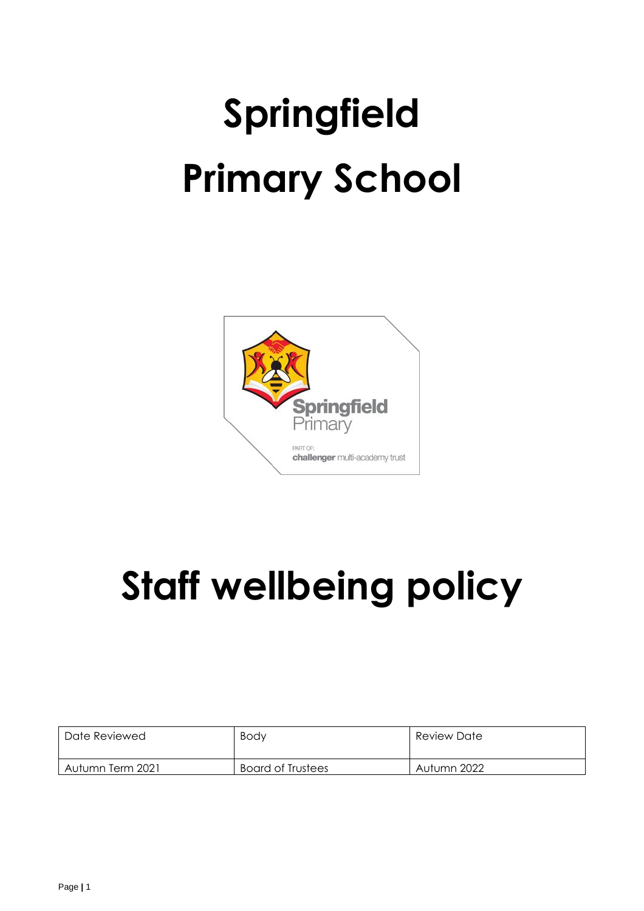# **Springfield Primary School**



# **Staff wellbeing policy**

| Date Reviewed    | <b>Body</b>              | Review Date |
|------------------|--------------------------|-------------|
| Autumn Term 2021 | <b>Board of Trustees</b> | Autumn 2022 |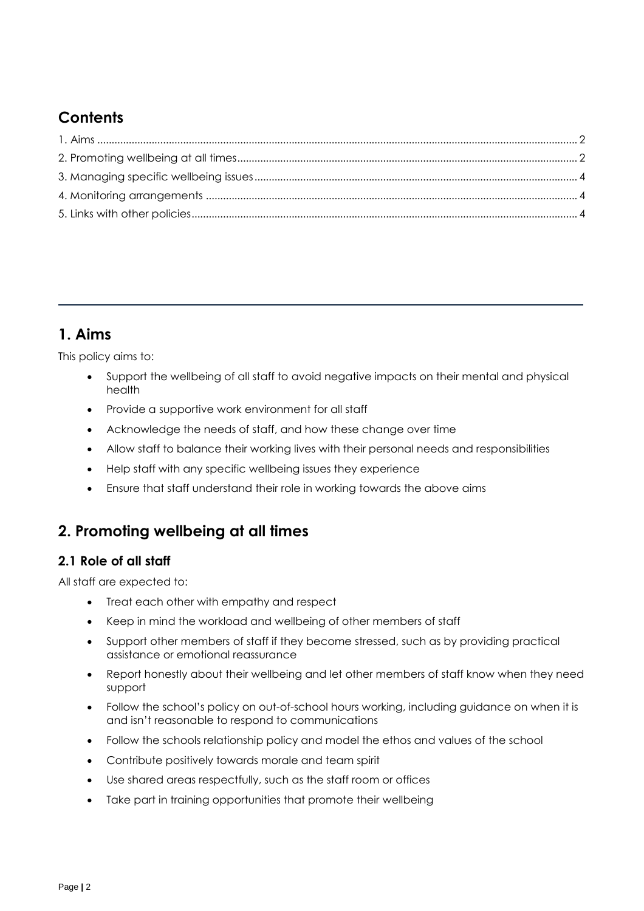# **Contents**

# <span id="page-1-0"></span>**1. Aims**

This policy aims to:

- Support the wellbeing of all staff to avoid negative impacts on their mental and physical health
- Provide a supportive work environment for all staff
- Acknowledge the needs of staff, and how these change over time
- Allow staff to balance their working lives with their personal needs and responsibilities
- Help staff with any specific wellbeing issues they experience
- Ensure that staff understand their role in working towards the above aims

# <span id="page-1-1"></span>**2. Promoting wellbeing at all times**

#### **2.1 Role of all staff**

All staff are expected to:

- Treat each other with empathy and respect
- Keep in mind the workload and wellbeing of other members of staff
- Support other members of staff if they become stressed, such as by providing practical assistance or emotional reassurance
- Report honestly about their wellbeing and let other members of staff know when they need support
- Follow the school's policy on out-of-school hours working, including guidance on when it is and isn't reasonable to respond to communications
- Follow the schools relationship policy and model the ethos and values of the school
- Contribute positively towards morale and team spirit
- Use shared areas respectfully, such as the staff room or offices
- Take part in training opportunities that promote their wellbeing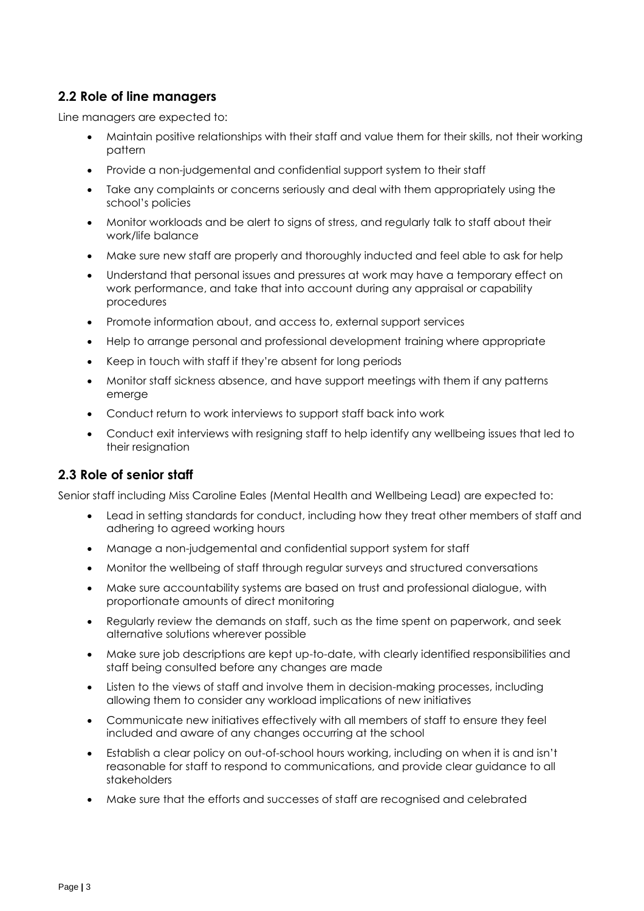#### **2.2 Role of line managers**

Line managers are expected to:

- Maintain positive relationships with their staff and value them for their skills, not their working pattern
- Provide a non-judgemental and confidential support system to their staff
- Take any complaints or concerns seriously and deal with them appropriately using the school's policies
- Monitor workloads and be alert to signs of stress, and regularly talk to staff about their work/life balance
- Make sure new staff are properly and thoroughly inducted and feel able to ask for help
- Understand that personal issues and pressures at work may have a temporary effect on work performance, and take that into account during any appraisal or capability procedures
- Promote information about, and access to, external support services
- Help to arrange personal and professional development training where appropriate
- Keep in touch with staff if they're absent for long periods
- Monitor staff sickness absence, and have support meetings with them if any patterns emerge
- Conduct return to work interviews to support staff back into work
- Conduct exit interviews with resigning staff to help identify any wellbeing issues that led to their resignation

#### **2.3 Role of senior staff**

Senior staff including Miss Caroline Eales (Mental Health and Wellbeing Lead) are expected to:

- Lead in setting standards for conduct, including how they treat other members of staff and adhering to agreed working hours
- Manage a non-judgemental and confidential support system for staff
- Monitor the wellbeing of staff through regular surveys and structured conversations
- Make sure accountability systems are based on trust and professional dialogue, with proportionate amounts of direct monitoring
- Regularly review the demands on staff, such as the time spent on paperwork, and seek alternative solutions wherever possible
- Make sure job descriptions are kept up-to-date, with clearly identified responsibilities and staff being consulted before any changes are made
- Listen to the views of staff and involve them in decision-making processes, including allowing them to consider any workload implications of new initiatives
- Communicate new initiatives effectively with all members of staff to ensure they feel included and aware of any changes occurring at the school
- Establish a clear policy on out-of-school hours working, including on when it is and isn't reasonable for staff to respond to communications, and provide clear guidance to all stakeholders
- Make sure that the efforts and successes of staff are recognised and celebrated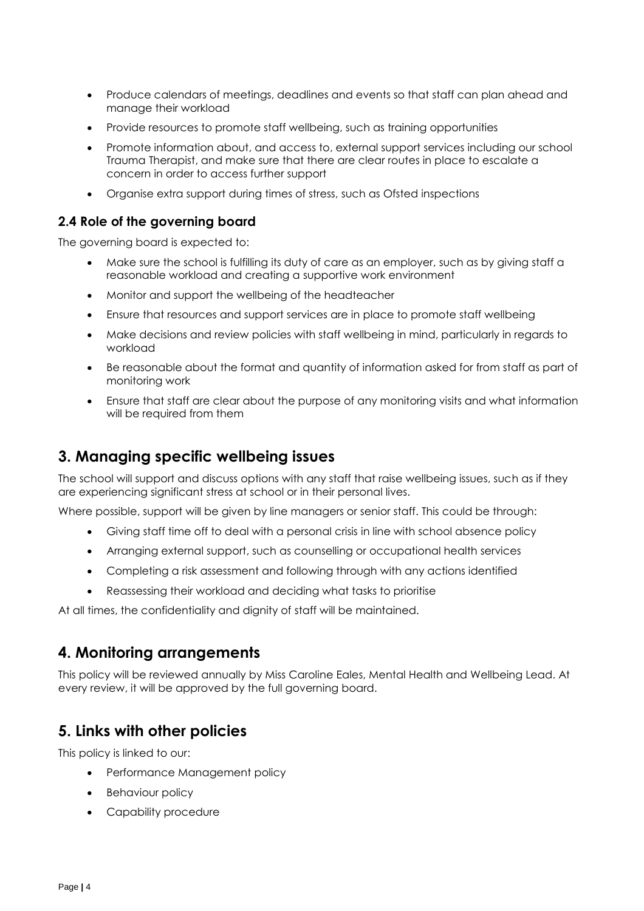- Produce calendars of meetings, deadlines and events so that staff can plan ahead and manage their workload
- Provide resources to promote staff wellbeing, such as training opportunities
- Promote information about, and access to, external support services including our school Trauma Therapist, and make sure that there are clear routes in place to escalate a concern in order to access further support
- Organise extra support during times of stress, such as Ofsted inspections

#### **2.4 Role of the governing board**

The governing board is expected to:

- Make sure the school is fulfilling its duty of care as an employer, such as by giving staff a reasonable workload and creating a supportive work environment
- Monitor and support the wellbeing of the headteacher
- Ensure that resources and support services are in place to promote staff wellbeing
- Make decisions and review policies with staff wellbeing in mind, particularly in regards to workload
- Be reasonable about the format and quantity of information asked for from staff as part of monitoring work
- Ensure that staff are clear about the purpose of any monitoring visits and what information will be required from them

## <span id="page-3-0"></span>**3. Managing specific wellbeing issues**

The school will support and discuss options with any staff that raise wellbeing issues, such as if they are experiencing significant stress at school or in their personal lives.

Where possible, support will be given by line managers or senior staff. This could be through:

- Giving staff time off to deal with a personal crisis in line with school absence policy
- Arranging external support, such as counselling or occupational health services
- Completing a risk assessment and following through with any actions identified
- Reassessing their workload and deciding what tasks to prioritise

At all times, the confidentiality and dignity of staff will be maintained.

#### <span id="page-3-1"></span>**4. Monitoring arrangements**

This policy will be reviewed annually by Miss Caroline Eales, Mental Health and Wellbeing Lead. At every review, it will be approved by the full governing board.

## <span id="page-3-2"></span>**5. Links with other policies**

This policy is linked to our:

- Performance Management policy
- Behaviour policy
- Capability procedure